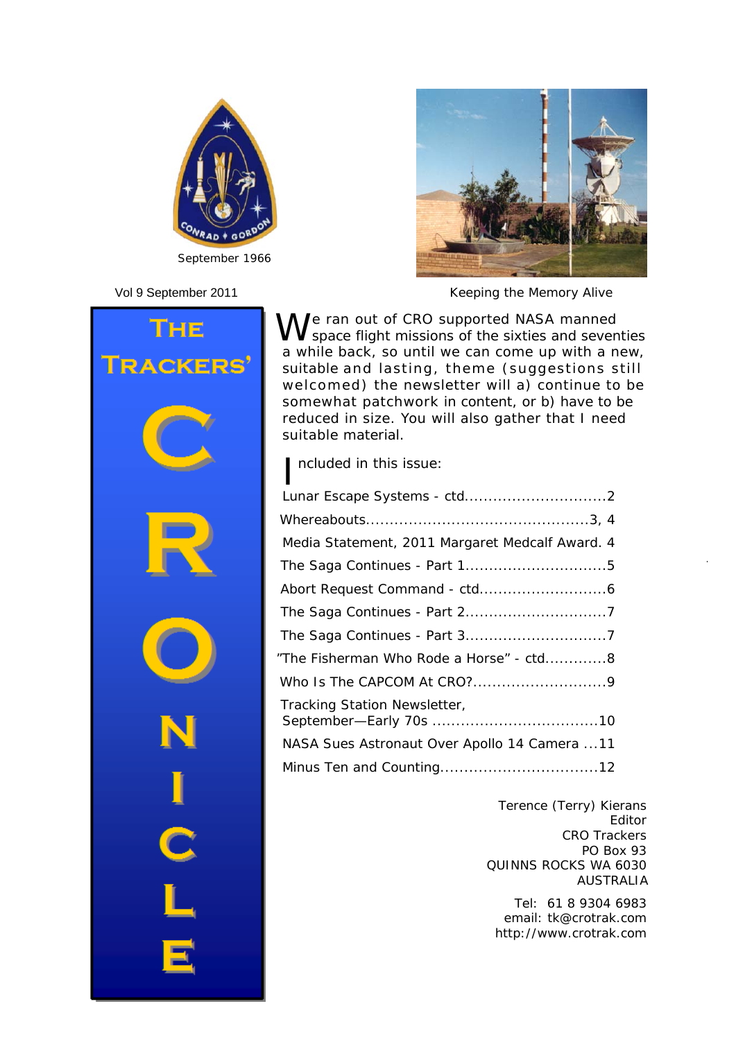



Vol 9 September 2011 *Keeping the Memory Alive*



We ran out of CRO supported NASA manned<br>We space flight missions of the sixties and seventies a while back, so until we can come up with a new, suitable and lasting, theme (suggestions still welcomed) the newsletter will a) continue to be somewhat patchwork in content, or b) have to be reduced in size. You will also gather that I need suitable material.

I ncluded in this issue:

| Media Statement, 2011 Margaret Medcalf Award. 4 |
|-------------------------------------------------|
|                                                 |
|                                                 |
|                                                 |
|                                                 |
| "The Fisherman Who Rode a Horse" - ctd8         |
|                                                 |
| Tracking Station Newsletter,                    |
| NASA Sues Astronaut Over Apollo 14 Camera 11    |
|                                                 |
|                                                 |

Terence (Terry) Kierans Editor CRO Trackers PO Box 93 QUINNS ROCKS WA 6030 AUSTRALIA

Tel: 61 8 9304 6983 email: tk@crotrak.com http://www.crotrak.com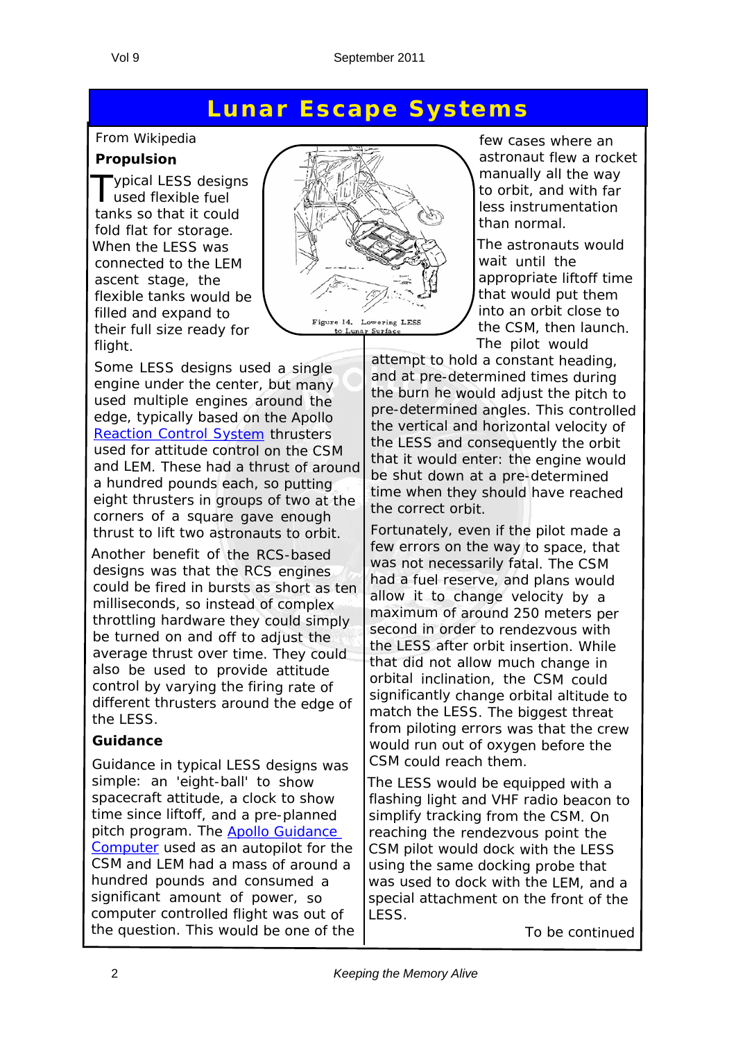#### **Lunar Escape Systems**

#### *From Wikipedia*

#### **Propulsion**

Typical LESS designs used flexible fuel tanks so that it could fold flat for storage. When the LESS was connected to the LEM ascent stage, the flexible tanks would be filled and expand to their full size ready for flight.

Some LESS designs used <sup>a</sup> single engine under the center, but many used multiple engines around the edge, typically based on the Apollo Reaction Control System thrusters used for attitude control on the CSM and LEM. These had <sup>a</sup> thrust of around <sup>a</sup> hundred pounds each, so putting eight thrusters in groups of two at the corners of <sup>a</sup> square gave enough thrust to lift two astronauts to orbit.

Another benefit of the RCS-based designs was that the RCS engines could be fired in bursts as short as ten milliseconds, so instead of complex throttling hardware they could simply be turned on and off to adjust the average thrust over time. They could also be used to provide attitude control by varying the firing rate of different thrusters around the edge of the LESS.

#### **Guidance**

Guidance in typical LESS designs was simple: an 'eight-ball' to show spacecraft attitude, <sup>a</sup> clock to show time since liftoff, and <sup>a</sup> pre-planned pitch program. The Apollo Guidance Computer used as an autopilot for the CSM and LEM had <sup>a</sup> mass of around <sup>a</sup> hundred pounds and consumed <sup>a</sup> significant amount of power, so computer controlled flight was out of the question. This would be one of the



few cases where an astronaut flew a rocket manually all the way to orbit, and with far less instrumentation than normal.

The astronauts would wait until the appropriate liftoff time that would put them into an orbit close to the CSM, then launch. The pilot would

attempt to hold <sup>a</sup> constant heading, and at pre-determined times during the burn he would adjust the pitch to pre-determined angles. This controlled the vertical and horizontal velocity of the LESS and consequently the orbit that it would enter: the engine would be shut down at <sup>a</sup> pre-determined time when they should have reached the correct orbit.

Fortunately, even if the pilot made <sup>a</sup> few errors on the way to space, that was not necessarily fatal. The CSM had <sup>a</sup> fuel reserve, and plans would allow it to change velocity by <sup>a</sup> maximum of around 250 meters per second in order to rendezvous with the LESS after orbit insertion. While that did not allow much change in orbital inclination, the CSM could significantly change orbital altitude to match the LESS. The biggest threat from piloting errors was that the crew would run out of oxygen before the CSM could reach them.

The LESS would be equipped with <sup>a</sup> flashing light and VHF radio beacon to simplify tracking from the CSM. On reaching the rendezvous point the CSM pilot would dock with the LESS using the same docking probe that was used to dock with the LEM, and <sup>a</sup> special attachment on the front of the LESS.

*To be continued*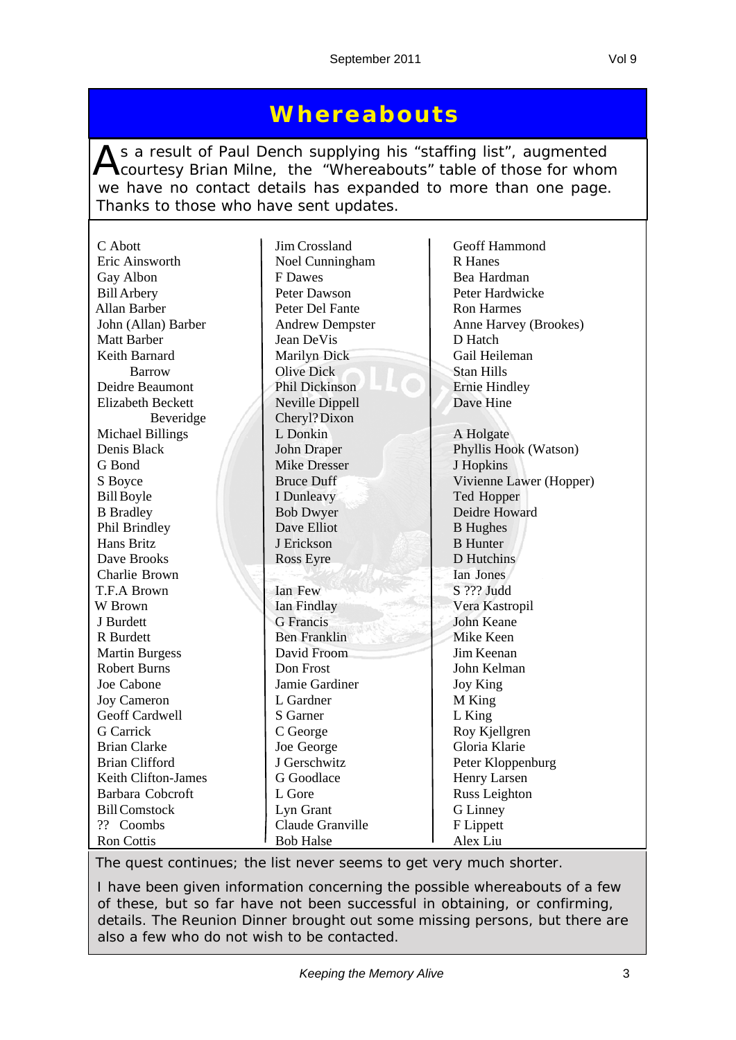#### **Whereabouts**

As a result of Paul Dench supplying his "staffing list", augmented<br>Courtesy Brian Milne, the "Whereabouts" table of those for whom we have no contact details has expanded to more than one page. Thanks to those who have sent updates.

| C Abott                  |                        | Geoff Hammond           |
|--------------------------|------------------------|-------------------------|
| Eric Ainsworth           | Jim Crossland          | <b>R</b> Hanes          |
|                          | Noel Cunningham        |                         |
| Gay Albon                | F Dawes                | Bea Hardman             |
| <b>Bill Arbery</b>       | Peter Dawson           | Peter Hardwicke         |
| Allan Barber             | Peter Del Fante        | <b>Ron Harmes</b>       |
| John (Allan) Barber      | <b>Andrew Dempster</b> | Anne Harvey (Brookes)   |
| <b>Matt Barber</b>       | Jean DeVis             | D Hatch                 |
| Keith Barnard            | Marilyn Dick           | Gail Heileman           |
| <b>Barrow</b>            | <b>Olive Dick</b>      | <b>Stan Hills</b>       |
| Deidre Beaumont          | Phil Dickinson         | <b>Ernie Hindley</b>    |
| <b>Elizabeth Beckett</b> | Neville Dippell        | Dave Hine               |
| Beveridge                | Cheryl?Dixon           |                         |
| <b>Michael Billings</b>  | L Donkin               | A Holgate               |
| Denis Black              | John Draper            | Phyllis Hook (Watson)   |
| G Bond                   | <b>Mike Dresser</b>    | J Hopkins               |
| S Boyce                  | <b>Bruce Duff</b>      | Vivienne Lawer (Hopper) |
| <b>Bill Boyle</b>        | I Dunleavy             | Ted Hopper              |
| <b>B</b> Bradley         | <b>Bob Dwyer</b>       | Deidre Howard           |
| Phil Brindley            | Dave Elliot            | <b>B</b> Hughes         |
| Hans Britz               | J Erickson             | <b>B</b> Hunter         |
| Dave Brooks              | Ross Eyre              | D Hutchins              |
| Charlie Brown            |                        | Ian Jones               |
| T.F.A Brown              | Ian Few                | S ??? Judd              |
| W Brown                  | Ian Findlay            | Vera Kastropil          |
| J Burdett                | <b>G</b> Francis       | <b>John Keane</b>       |
| R Burdett                | <b>Ben Franklin</b>    | Mike Keen               |
| <b>Martin Burgess</b>    | David Froom            | Jim Keenan              |
| <b>Robert Burns</b>      | Don Frost              | John Kelman             |
| Joe Cabone               | Jamie Gardiner         | Joy King                |
| <b>Joy Cameron</b>       | L Gardner              | M King                  |
| Geoff Cardwell           | S Garner               | L King                  |
| G Carrick                | C George               | Roy Kjellgren           |
| <b>Brian Clarke</b>      | Joe George             | Gloria Klarie           |
| <b>Brian Clifford</b>    | J Gerschwitz           | Peter Kloppenburg       |
| Keith Clifton-James      | G Goodlace             | Henry Larsen            |
| Barbara Cobcroft         | L Gore                 | Russ Leighton           |
| <b>Bill Comstock</b>     | Lyn Grant              | G Linney                |
| ?? Coombs                | Claude Granville       | F Lippett               |
| <b>Ron Cottis</b>        | <b>Bob Halse</b>       | Alex Liu                |

*The quest continues; the list never seems to get very much shorter.*

*I have been given information concerning the possible whereabouts of a few of these, but so far have not been successful in obtaining, or confirming, details. The Reunion Dinner brought out some missing persons, but there are also a few who do not wish to be contacted.*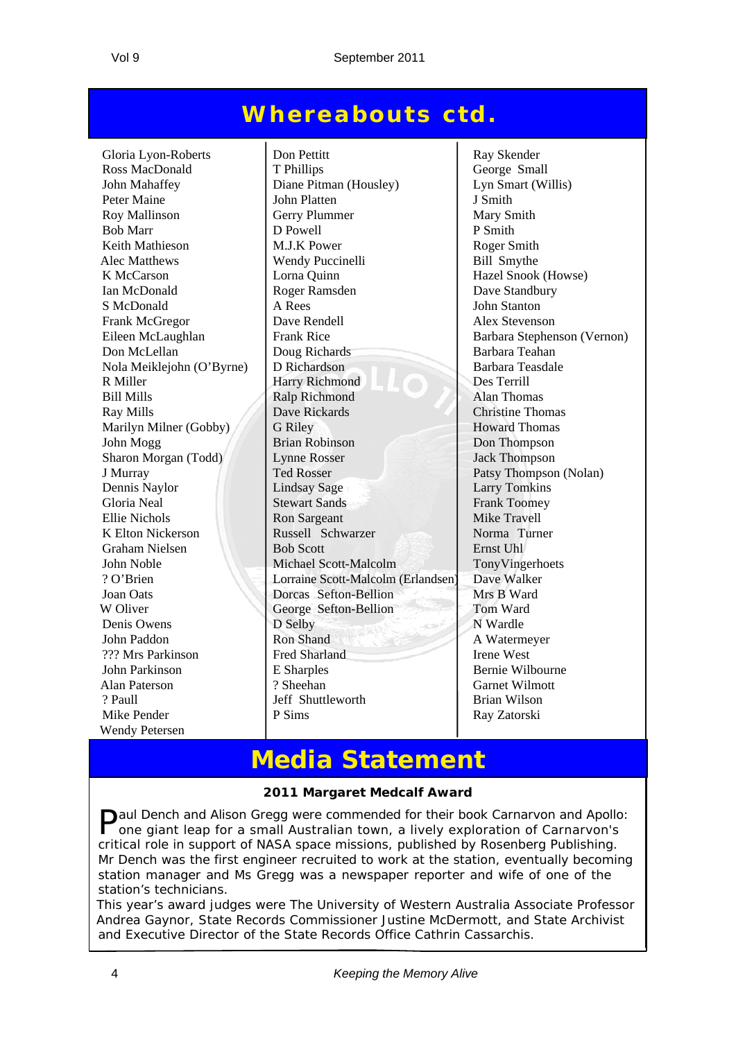#### **Whereabouts ctd.**

Mike Pender P Sims Ray Zatorski Wendy Petersen

Gloria Lyon-Roberts Don Pettitt Ray Skender Ross MacDonald T Phillips George Small John Mahaffey Diane Pitman (Housley) Lyn Smart (Willis) Peter Maine John Platten J Smith Roy Mallinson Gerry Plummer Mary Smith<br>
Rob Marr D Powell D Powell P Smith Bob Marr  $\vert$  D Powell  $\vert$  P Smith Keith Mathieson M.J.K Power Roger Smith Alec Matthews Wendy Puccinelli Bill Smythe K McCarson **Lorna Quinn** Hazel Snook (Howse) Ian McDonald Roger Ramsden Dave Standbury S McDonald A Rees John Stanton Frank McGregor  $\vert$  Dave Rendell Alex Stevenson Eileen McLaughlan | Frank Rice | Barbara Stephenson (Vernon) Don McLellan Doug Richards Barbara Teahan Nola Meiklejohn (O'Byrne) D Richardson Barbara Teasdale R Miller Harry Richmond Des Terrill Bill Mills Ralp Richmond Alan Thomas Ray Mills Dave Rickards Christine Thomas Marilyn Milner (Gobby) G Riley Howard Thomas John Mogg Brian Robinson Don Thompson Sharon Morgan (Todd) Lynne Rosser Jack Thompson J Murray Thompson (Nolan) Ted Rosser Patsy Thompson (Nolan) Dennis Naylor Lindsay Sage Larry Tomkins Gloria Neal Stewart Sands Frank Toomey Ellie Nichols Ron Sargeant Mike Travell K Elton Nickerson Russell Schwarzer Norma Turner Graham Nielsen Bob Scott Ernst Uhl John Noble Michael Scott-Malcolm TonyVingerhoets ? O'Brien Lorraine Scott-Malcolm (Erlandsen) Dave Walker Joan Oats **Dorcas Sefton-Bellion** Mrs B Ward W Oliver Change Sefton-Bellion Tom Ward Denis Owens D Selby N Wardle John Paddon Ron Shand A Watermeyer ??? Mrs Parkinson Fred Sharland Irene West John Parkinson **E** Sharples Bernie Wilbourne Alan Paterson ? Sheehan Garnet Wilmott ? Paull Jeff Shuttleworth Brian Wilson

#### **Media Statement**

#### **2011 Margaret Medcalf Award**

Paul Dench and Alison Gregg were commended for their book Carnarvon and Apollo: one giant leap for a small Australian town, a lively exploration of Carnarvon's critical role in support of NASA space missions, published by Rosenberg Publishing. Mr Dench was the first engineer recruited to work at the station, eventually becoming station manager and Ms Gregg was a newspaper reporter and wife of one of the station's technicians.

This year's award judges were The University of Western Australia Associate Professor Andrea Gaynor, State Records Commissioner Justine McDermott, and State Archivist and Executive Director of the State Records Office Cathrin Cassarchis.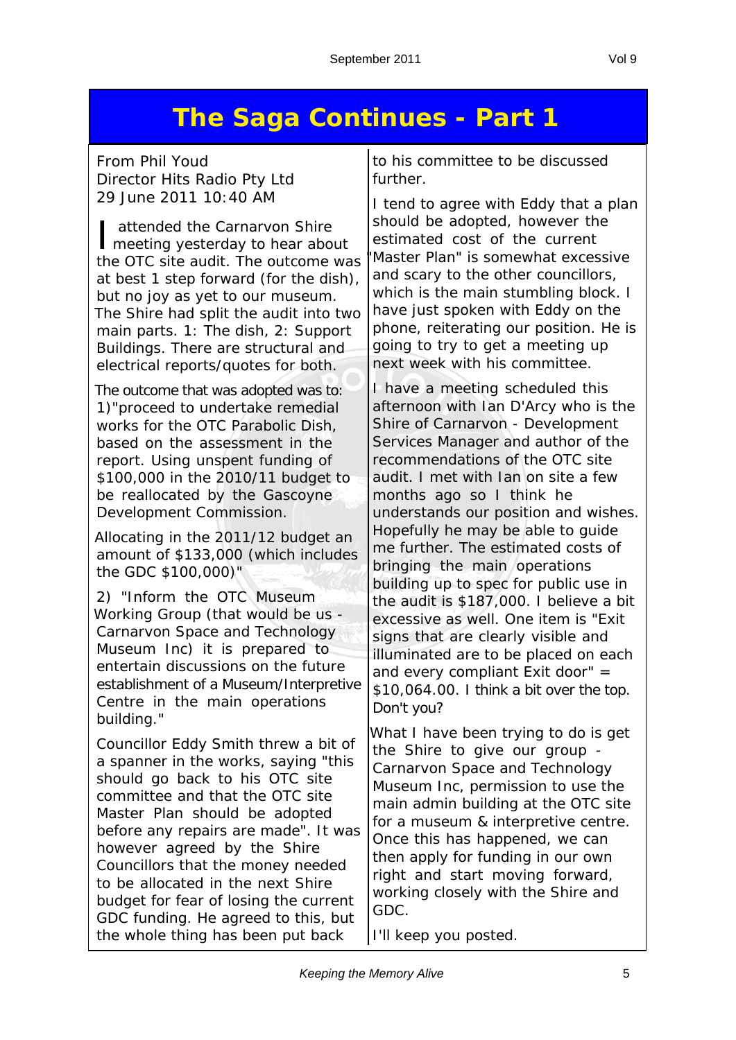## **The Saga Continues - Part 1**

*From Phil Youd Director Hits Radio Pty Ltd 29 June 2011 10:40 AM*

I attended the Carnarvon Shire<br>I meeting yesterday to hear about attended the Carnarvon Shire the OTC site audit. The outcome was at best 1 step forward (for the dish), but no joy as yet to our museum. The Shire had split the audit into two main parts. 1: The dish, 2: Support Buildings. There are structural and electrical reports/quotes for both.

The outcome that was adopted was to: 1)"proceed to undertake remedial works for the OTC Parabolic Dish, based on the assessment in the report. Using unspent funding of \$100,000 in the 2010/11 budget to be reallocated by the Gascoyne Development Commission.

Allocating in the 2011/12 budget an amount of \$133,000 (which includes the GDC \$100,000)"

2) "Inform the OTC Museum Working Group (that would be us - *Carnarvon Space and Technology Museum Inc*) it is prepared to entertain discussions on the future establishment of a Museum/Interpretive Centre in the main operations building."

Councillor Eddy Smith threw a bit of a spanner in the works, saying "this should go back to his OTC site committee and that the OTC site Master Plan should be adopted before any repairs are made". It was however agreed by the Shire Councillors that the money needed to be allocated in the next Shire budget for fear of losing the current GDC funding. He agreed to this, but the whole thing has been put back

to his committee to be discussed further.

I tend to agree with Eddy that a plan should be adopted, however the estimated cost of the current 'Master Plan" is somewhat excessive and scary to the other councillors, which is the main stumbling block. I have just spoken with Eddy on the phone, reiterating our position. He is going to try to get a meeting up next week with his committee.

I have a meeting scheduled this afternoon with Ian D'Arcy who is the *Shire of Carnarvon - Development Services Manager* and author of the recommendations of the OTC site audit. I met with Ian on site a few months ago so I think he understands our position and wishes. Hopefully he may be able to guide me further. The estimated costs of bringing the main operations building up to spec for public use in the audit is \$187,000. I believe a bit excessive as well. One item is "Exit signs that are clearly visible and illuminated are to be placed on each and every compliant Exit door" = \$10,064.00. I think a bit over the top. Don't you?

What I have been trying to do is get the Shire to give our group - *Carnarvon Space and Technology Museum Inc*, permission to use the main admin building at the OTC site for a museum & interpretive centre. Once this has happened, we can then apply for funding in our own right and start moving forward, working closely with the Shire and GDC.

I'll keep you posted.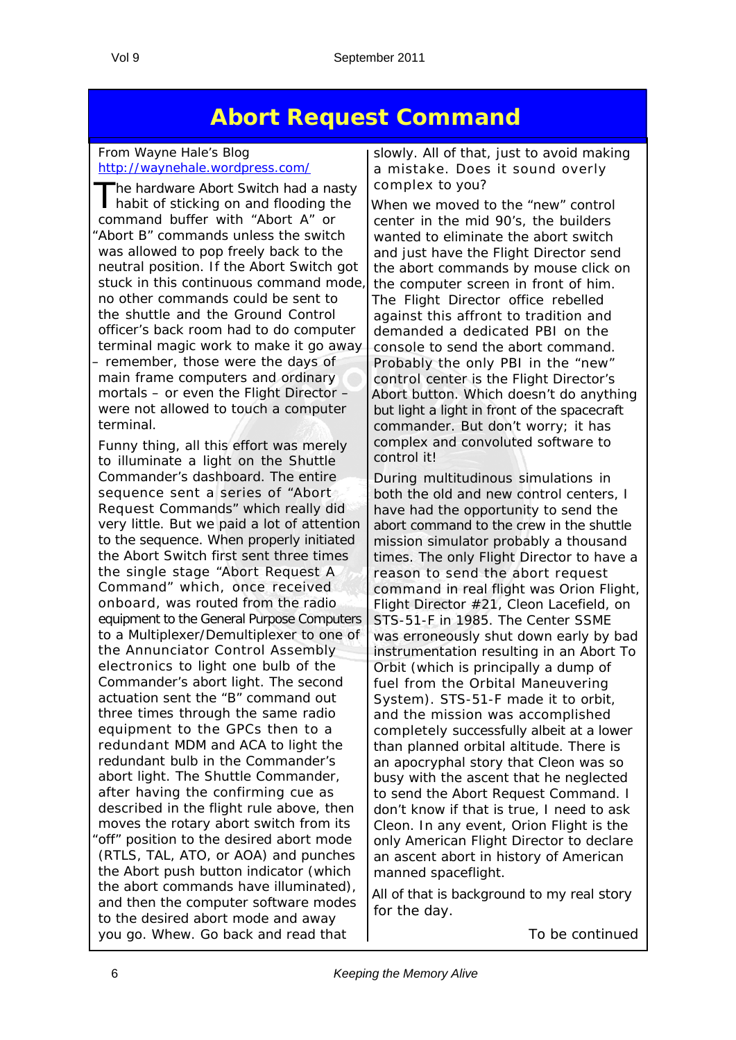#### **Abort Request Command**

#### *From Wayne Hale's Blog* http://waynehale.wordpress.com/

The hardware Abort Switch had a nasty habit of sticking on and flooding the command buffer with "Abort A" or "Abort B" commands unless the switch was allowed to pop freely back to the neutral position. If the Abort Switch got stuck in this continuous command mode, no other commands could be sent to the shuttle and the Ground Control officer's back room had to do computer terminal magic work to make it go away – remember, those were the days of main frame computers and ordinary mortals – or even the Flight Director – were not allowed to touch a computer terminal.

Funny thing, all this effort was merely to illuminate a light on the Shuttle Commander's dashboard. The entire sequence sent a series of "Abort Request Commands" which really did very little. But we paid a lot of attention to the sequence. When properly initiated the Abort Switch first sent three times the single stage "Abort Request A Command" which, once received onboard, was routed from the radio equipment to the General Purpose Computers to a Multiplexer/Demultiplexer to one of the Annunciator Control Assembly electronics to light one bulb of the Commander's abort light. The second actuation sent the "B" command out three times through the same radio equipment to the GPCs then to a redundant MDM and ACA to light the redundant bulb in the Commander's abort light. The Shuttle Commander, after having the confirming cue as described in the flight rule above, then moves the rotary abort switch from its "off" position to the desired abort mode (RTLS, TAL, ATO, or AOA) and punches the Abort push button indicator (which the abort commands have illuminated), and then the computer software modes to the desired abort mode and away you go. Whew. Go back and read that

slowly. All of that, just to avoid making a mistake. Does it sound overly complex to you?

When we moved to the "new" control center in the mid 90's, the builders wanted to eliminate the abort switch and just have the Flight Director send the abort commands by mouse click on the computer screen in front of him. The Flight Director office rebelled against this affront to tradition and demanded a dedicated PBI on the console to send the abort command. Probably the only PBI in the "new" control center is the Flight Director's Abort button. Which doesn't do anything but light a light in front of the spacecraft commander. But don't worry; it has complex and convoluted software to control it!

During multitudinous simulations in both the old and new control centers, I have had the opportunity to send the abort command to the crew in the shuttle mission simulator probably a thousand times. The only Flight Director to have a reason to send the abort request command in real flight was Orion Flight, Flight Director #21, Cleon Lacefield, on STS-51-F in 1985. The Center SSME was erroneously shut down early by bad instrumentation resulting in an Abort To Orbit (which is principally a dump of fuel from the Orbital Maneuvering System). STS-51-F made it to orbit, and the mission was accomplished completely successfully albeit at a lower than planned orbital altitude. There is an apocryphal story that Cleon was so busy with the ascent that he neglected to send the Abort Request Command. I don't know if that is true, I need to ask Cleon. In any event, Orion Flight is the only American Flight Director to declare an ascent abort in history of American manned spaceflight.

All of that is background to my real story for the day.

*To be continued*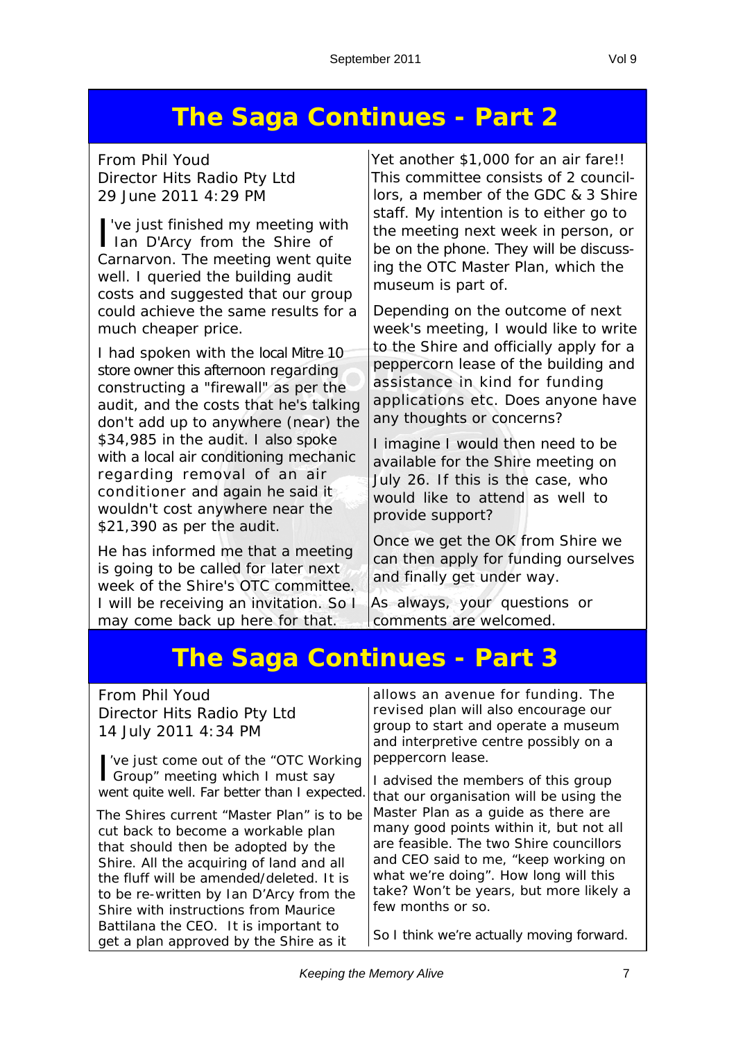### **The Saga Continues - Part 2**

*From Phil Youd Director Hits Radio Pty Ltd 29 June 2011 4:29 PM*

I've just finished my meeting with lan D'Arcy from the Shire of 've just finished my meeting with Carnarvon. The meeting went quite well. I queried the building audit costs and suggested that our group could achieve the same results for a much cheaper price.

I had spoken with the local Mitre 10 store owner this afternoon regarding constructing a "firewall" as per the audit, and the costs that he's talking don't add up to anywhere (near) the \$34,985 in the audit. I also spoke with a local air conditioning mechanic regarding removal of an air conditioner and again he said it wouldn't cost anywhere near the \$21,390 as per the audit.

He has informed me that a meeting is going to be called for later next week of the Shire's OTC committee. I will be receiving an invitation. So I may come back up here for that.

Yet another \$1,000 for an air fare!! This committee consists of 2 councillors, a member of the GDC & 3 Shire staff. My intention is to either go to the meeting next week in person, or be on the phone. They will be discussing the *OTC Master Plan*, which the museum is part of.

Depending on the outcome of next week's meeting, I would like to write to the Shire and officially apply for a peppercorn lease of the building and assistance in kind for funding applications etc. Does anyone have any thoughts or concerns?

I imagine I would then need to be available for the Shire meeting on July 26. If this is the case, who would like to attend as well to provide support?

Once we get the OK from Shire we can then apply for funding ourselves and finally get under way.

As always, your questions or comments are welcomed.

## **The Saga Continues - Part 3**

| <b>From Phil Youd</b><br>Director Hits Radio Pty Ltd<br>14 July 2011 4:34 PM                                                                                      | allows an avenue for funding. The<br>revised plan will also encourage our<br>group to start and operate a museum<br>and interpretive centre possibly on a<br>peppercorn lease. |
|-------------------------------------------------------------------------------------------------------------------------------------------------------------------|--------------------------------------------------------------------------------------------------------------------------------------------------------------------------------|
| ve just come out of the "OTC Working"<br>Group" meeting which I must say<br>went quite well. Far better than I expected.                                          | I advised the members of this group<br>that our organisation will be using the<br>Master Plan as a guide as there are                                                          |
| The Shires current "Master Plan" is to be<br>cut back to become a workable plan<br>that should then be adopted by the<br>Shire. All the acquiring of land and all | many good points within it, but not all<br>are feasible. The two Shire councillors<br>and CEO said to me, "keep working on                                                     |
| the fluff will be amended/deleted. It is<br>to be re-written by Ian D'Arcy from the<br>Shire with instructions from Maurice                                       | what we're doing". How long will this<br>take? Won't be years, but more likely a<br>few months or so.                                                                          |
| Battilana the CEO. It is important to<br>get a plan approved by the Shire as it                                                                                   | So I think we're actually moving forward.                                                                                                                                      |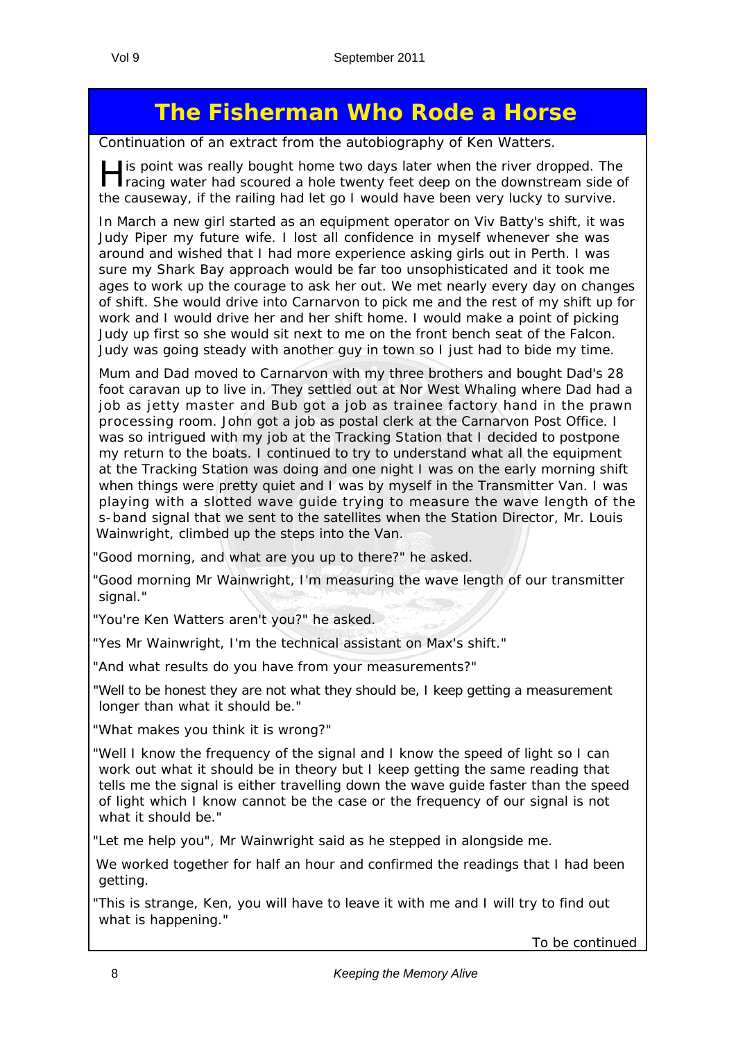### **The Fisherman Who Rode a Horse**

*Continuation of an extract from the autobiography of Ken Watters.*

His point was really bought home two days later when the river dropped. The racing water had scoured a hole twenty feet deep on the downstream side of the causeway, if the railing had let go I would have been very lucky to survive.

In March a new girl started as an equipment operator on Viv Batty's shift, it was Judy Piper my future wife. I lost all confidence in myself whenever she was around and wished that I had more experience asking girls out in Perth. I was sure my Shark Bay approach would be far too unsophisticated and it took me ages to work up the courage to ask her out. We met nearly every day on changes of shift. She would drive into Carnarvon to pick me and the rest of my shift up for work and I would drive her and her shift home. I would make a point of picking Judy up first so she would sit next to me on the front bench seat of the Falcon. Judy was going steady with another guy in town so I just had to bide my time.

Mum and Dad moved to Carnarvon with my three brothers and bought Dad's 28 foot caravan up to live in. They settled out at Nor West Whaling where Dad had a job as jetty master and Bub got a job as trainee factory hand in the prawn processing room. John got a job as postal clerk at the Carnarvon Post Office. I was so intrigued with my job at the Tracking Station that I decided to postpone my return to the boats. I continued to try to understand what all the equipment at the Tracking Station was doing and one night I was on the early morning shift when things were pretty quiet and I was by myself in the Transmitter Van. I was playing with a slotted wave guide trying to measure the wave length of the s-band signal that we sent to the satellites when the Station Director, Mr. Louis Wainwright, climbed up the steps into the Van.

"Good morning, and what are you up to there?" he asked.

"Good morning Mr Wainwright, I'm measuring the wave length of our transmitter signal."

"You're Ken Watters aren't you?" he asked.

"Yes Mr Wainwright, I'm the technical assistant on Max's shift."

"And what results do you have from your measurements?"

"Well to be honest they are not what they should be, I keep getting a measurement longer than what it should be."

"What makes you think it is wrong?"

"Well I know the frequency of the signal and I know the speed of light so I can work out what it should be in theory but I keep getting the same reading that tells me the signal is either travelling down the wave guide faster than the speed of light which I know cannot be the case or the frequency of our signal is not what it should be."

"Let me help you", Mr Wainwright said as he stepped in alongside me.

We worked together for half an hour and confirmed the readings that I had been getting.

"This is strange, Ken, you will have to leave it with me and I will try to find out what is happening."

*To be continued*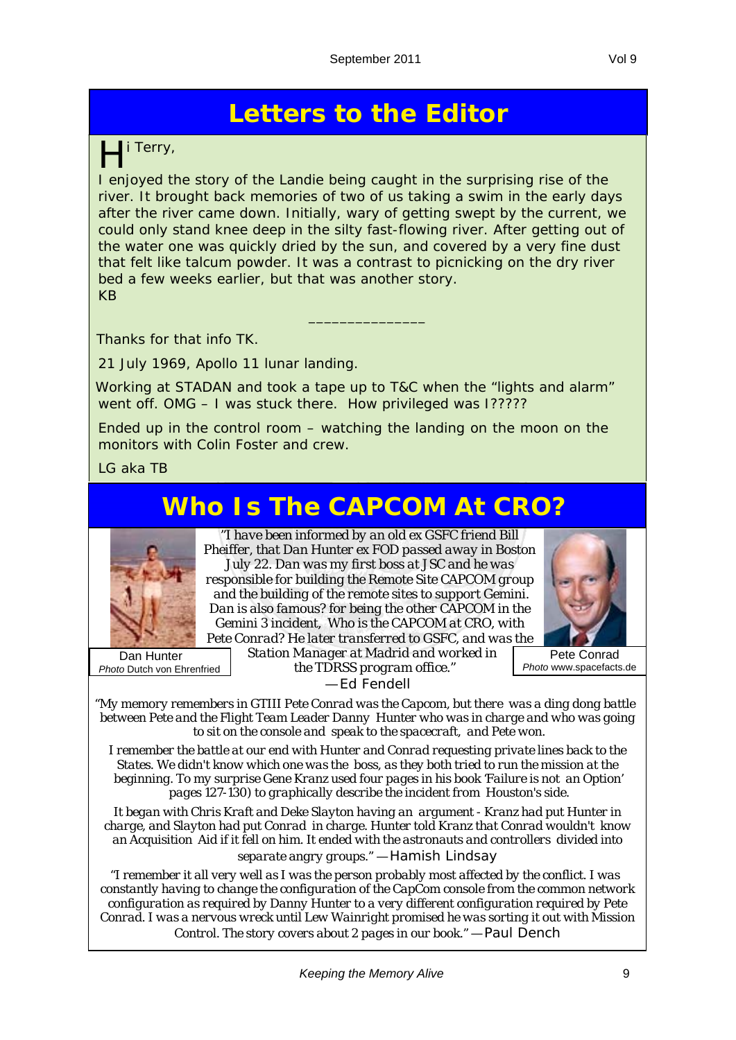## **Letters to the Editor**

#### i Terry,

I enjoyed the story of the Landie being caught in the surprising rise of the river. It brought back memories of two of us taking a swim in the early days after the river came down. Initially, wary of getting swept by the current, we could only stand knee deep in the silty fast-flowing river. After getting out of the water one was quickly dried by the sun, and covered by a very fine dust that felt like talcum powder. It was a contrast to picnicking on the dry river bed a few weeks earlier, but that was another story. KB

\_\_\_\_\_\_\_\_\_\_\_\_\_\_\_

Thanks for that info TK.

21 July 1969, Apollo 11 lunar landing.

Working at STADAN and took a tape up to T&C when the "lights and alarm" went off. OMG – I was stuck there. How privileged was I?????

Ended up in the control room – watching the landing on the moon on the monitors with Colin Foster and crew.

LG aka TB

## **Who Is The CAPCOM At CRO?**



"*I have been informed by an old ex GSFC friend Bill Pheiffer, that Dan Hunter ex FOD passed away in Boston July 22. Dan was my first boss at JSC and he was responsible for building the Remote Site CAPCOM group and the building of the remote sites to support Gemini. Dan is also famous? for being the other CAPCOM in the Gemini 3 incident, Who is the CAPCOM at CRO, with Pete Conrad? He later transferred to GSFC, and was the* 



 Dan Hunter *Photo* Dutch von Ehrenfried *Station Manager at Madrid and worked in the TDRSS program office.*" — Ed Fendell

Pete Conrad

*Photo* www.spacefacts.de

"*My memory remembers in GTIII Pete Conrad was the Capcom, but there was a ding dong battle between Pete and the Flight Team Leader Danny Hunter who was in charge and who was going to sit on the console and speak to the spacecraft, and Pete won.*

*I remember the battle at our end with Hunter and Conrad requesting private lines back to the States. We didn't know which one was the boss, as they both tried to run the mission at the beginning. To my surprise Gene Kranz used four pages in his book 'Failure is not an Option' pages 127-130) to graphically describe the incident from Houston's side.*

*It began with Chris Kraft and Deke Slayton having an argument - Kranz had put Hunter in charge, and Slayton had put Conrad in charge. Hunter told Kranz that Conrad wouldn't know an Acquisition Aid if it fell on him. It ended with the astronauts and controllers divided into* 

*separate angry groups.*" — Hamish Lindsay

"*I remember it all very well as I was the person probably most affected by the conflict. I was constantly having to change the configuration of the CapCom console from the common network configuration as required by Danny Hunter to a very different configuration required by Pete Conrad. I was a nervous wreck until Lew Wainright promised he was sorting it out with Mission Control. The story covers about 2 pages in our book."* — Paul Dench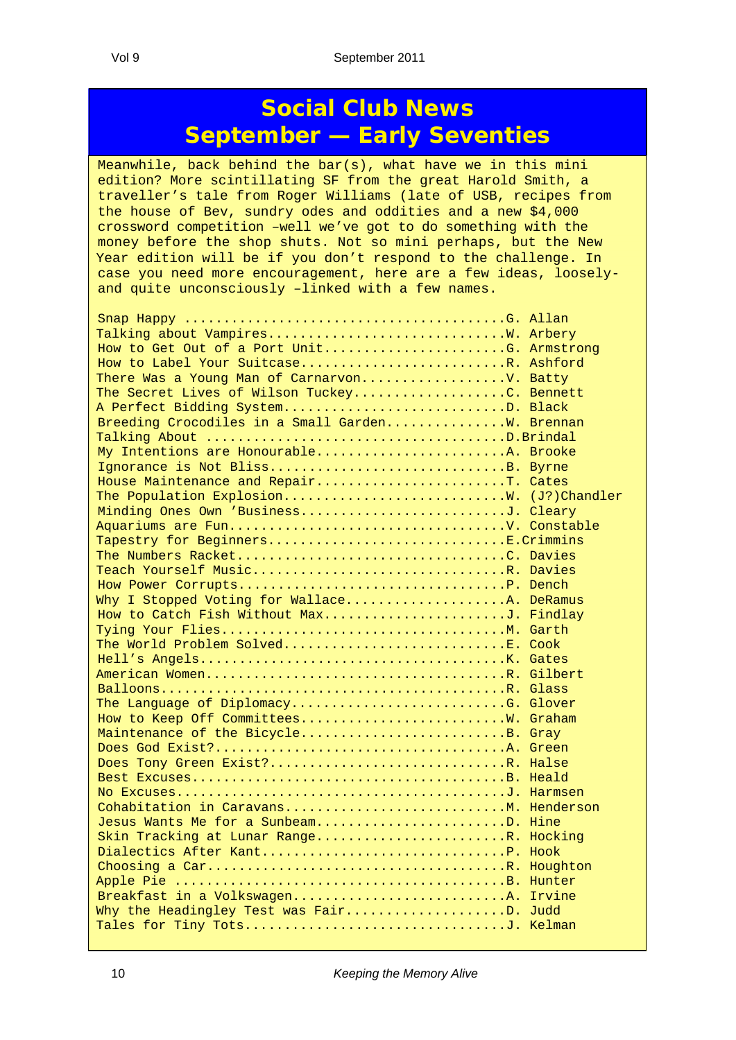#### **Social Club News September — Early Seventies**

Meanwhile, back behind the bar(s), what have we in this mini edition? More scintillating SF from the great Harold Smith, a traveller's tale from Roger Williams (late of USB, recipes from the house of Bev, sundry odes and oddities and a new \$4,000 crossword competition –well we've got to do something with the money before the shop shuts. Not so mini perhaps, but the New Year edition will be if you don't respond to the challenge. In case you need more encouragement, here are a few ideas, looselyand quite unconsciously –linked with a few names.

| How to Get Out of a Port UnitG. Armstrong                                                                             |  |
|-----------------------------------------------------------------------------------------------------------------------|--|
| How to Label Your SuitcaseR. Ashford                                                                                  |  |
| There Was a Young Man of Carnarvon V. Batty                                                                           |  |
| The Secret Lives of Wilson TuckeyC. Bennett                                                                           |  |
| A Perfect Bidding SystemD. Black                                                                                      |  |
| Breeding Crocodiles in a Small GardenW. Brennan                                                                       |  |
|                                                                                                                       |  |
| My Intentions are HonourableA. Brooke                                                                                 |  |
| Ignorance is Not BlissB. Byrne                                                                                        |  |
| House Maintenance and RepairT. Cates                                                                                  |  |
| The Population Explosion W. (J?) Chandler                                                                             |  |
| Minding Ones Own 'BusinessJ. Cleary                                                                                   |  |
|                                                                                                                       |  |
| Tapestry for BeginnersE.Crimmins                                                                                      |  |
|                                                                                                                       |  |
| Teach Yourself MusicR. Davies                                                                                         |  |
|                                                                                                                       |  |
| Why I Stopped Voting for WallaceA. DeRamus                                                                            |  |
| How to Catch Fish Without MaxJ. Findlay                                                                               |  |
| Tying Your FliesM. Garth                                                                                              |  |
| The World Problem SolvedE. Cook                                                                                       |  |
|                                                                                                                       |  |
| American WomenR. Gilbert                                                                                              |  |
|                                                                                                                       |  |
| The Language of DiplomacyG. Glover                                                                                    |  |
|                                                                                                                       |  |
| Maintenance of the BicycleB. Gray                                                                                     |  |
|                                                                                                                       |  |
| Does Tony Green Exist?R. Halse                                                                                        |  |
|                                                                                                                       |  |
|                                                                                                                       |  |
| Cohabitation in CaravansM. Henderson                                                                                  |  |
| Jesus Wants Me for a SunbeamD. Hine                                                                                   |  |
| Skin Tracking at Lunar RangeR. Hocking                                                                                |  |
|                                                                                                                       |  |
|                                                                                                                       |  |
|                                                                                                                       |  |
| Breakfast in a VolkswagenA. Irvine                                                                                    |  |
| Why the Headingley Test was FairD. Judd                                                                               |  |
|                                                                                                                       |  |
| <b>Contract Contract Contract Contract Contract Contract Contract Contract Contract Contract Contract Contract Co</b> |  |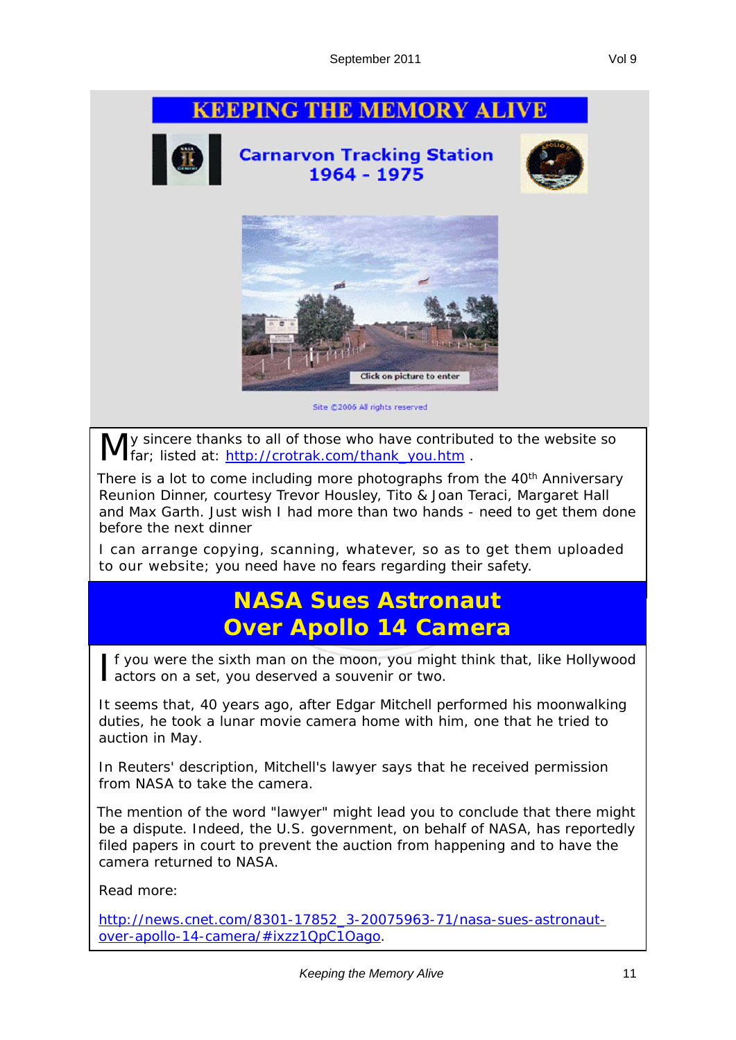#### **KEEPING THE MEMORY ALIVE**



**Carnarvon Tracking Station** 1964 - 1975





Site @2006 All rights reserved

y sincere thanks to all of those who have contributed to the website so far; listed at: http://crotrak.com/thank\_you.htm .

There is a lot to come including more photographs from the 40<sup>th</sup> Anniversary Reunion Dinner, courtesy Trevor Housley, Tito & Joan Teraci, Margaret Hall and Max Garth. Just wish I had more than two hands - need to get them done before the next dinner

I can arrange copying, scanning, whatever, so as to get them uploaded to our website; you need have no fears regarding their safety.

#### **NASA Sues Astronaut Over Apollo 14 Camera**

If you were the sixth man on the moon, you might think that, like Hollywood actors on a set, you deserved a souvenir or two. actors on a set, you deserved a souvenir or two.

It seems that, 40 years ago, after Edgar Mitchell performed his moonwalking duties, he took a lunar movie camera home with him, one that he tried to auction in May.

In Reuters' description, Mitchell's lawyer says that he received permission from NASA to take the camera.

The mention of the word "lawyer" might lead you to conclude that there might be a dispute. Indeed, the U.S. government, on behalf of NASA, has reportedly filed papers in court to prevent the auction from happening and to have the camera returned to NASA.

Read more:

http://news.cnet.com/8301-17852\_3-20075963-71/nasa-sues-astronautover-apollo-14-camera/#ixzz1QpC1Oago.